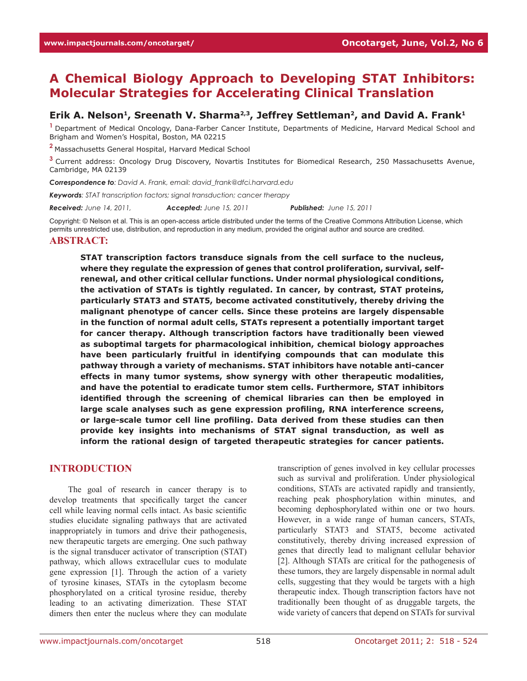# **A Chemical Biology Approach to Developing STAT Inhibitors: Molecular Strategies for Accelerating Clinical Translation**

# Erik A. Nelson<sup>1</sup>, Sreenath V. Sharma<sup>2,3</sup>, Jeffrey Settleman<sup>2</sup>, and David A. Frank<sup>1</sup>

**<sup>1</sup>**Department of Medical Oncology, Dana-Farber Cancer Institute, Departments of Medicine, Harvard Medical School and Brigham and Women's Hospital, Boston, MA 02215

**<sup>2</sup>**Massachusetts General Hospital, Harvard Medical School

**<sup>3</sup>**Current address: Oncology Drug Discovery, Novartis Institutes for Biomedical Research, 250 Massachusetts Avenue, Cambridge, MA 02139

*Correspondence to: David A. Frank, email: david\_frank@dfci.harvard.edu*

*Keywords: STAT transcription factors; signal transduction; cancer therapy*

*Received: June 14, 2011, Accepted: June 15, 2011 Published: June 15, 2011*

Copyright: © Nelson et al. This is an open-access article distributed under the terms of the Creative Commons Attribution License, which permits unrestricted use, distribution, and reproduction in any medium, provided the original author and source are credited.

#### **Abstract:**

**STAT transcription factors transduce signals from the cell surface to the nucleus, where they regulate the expression of genes that control proliferation, survival, selfrenewal, and other critical cellular functions. Under normal physiological conditions, the activation of STATs is tightly regulated. In cancer, by contrast, STAT proteins, particularly STAT3 and STAT5, become activated constitutively, thereby driving the malignant phenotype of cancer cells. Since these proteins are largely dispensable in the function of normal adult cells, STATs represent a potentially important target for cancer therapy. Although transcription factors have traditionally been viewed as suboptimal targets for pharmacological inhibition, chemical biology approaches have been particularly fruitful in identifying compounds that can modulate this pathway through a variety of mechanisms. STAT inhibitors have notable anti-cancer effects in many tumor systems, show synergy with other therapeutic modalities, and have the potential to eradicate tumor stem cells. Furthermore, STAT inhibitors identified through the screening of chemical libraries can then be employed in large scale analyses such as gene expression profiling, RNA interference screens, or large-scale tumor cell line profiling. Data derived from these studies can then provide key insights into mechanisms of STAT signal transduction, as well as inform the rational design of targeted therapeutic strategies for cancer patients.**

### **Introduction**

The goal of research in cancer therapy is to develop treatments that specifically target the cancer cell while leaving normal cells intact. As basic scientific studies elucidate signaling pathways that are activated inappropriately in tumors and drive their pathogenesis, new therapeutic targets are emerging. One such pathway is the signal transducer activator of transcription (STAT) pathway, which allows extracellular cues to modulate gene expression [1]. Through the action of a variety of tyrosine kinases, STATs in the cytoplasm become phosphorylated on a critical tyrosine residue, thereby leading to an activating dimerization. These STAT dimers then enter the nucleus where they can modulate transcription of genes involved in key cellular processes such as survival and proliferation. Under physiological conditions, STATs are activated rapidly and transiently, reaching peak phosphorylation within minutes, and becoming dephosphorylated within one or two hours. However, in a wide range of human cancers, STATs, particularly STAT3 and STAT5, become activated constitutively, thereby driving increased expression of genes that directly lead to malignant cellular behavior [2]. Although STATs are critical for the pathogenesis of these tumors, they are largely dispensable in normal adult cells, suggesting that they would be targets with a high therapeutic index. Though transcription factors have not traditionally been thought of as druggable targets, the wide variety of cancers that depend on STATs for survival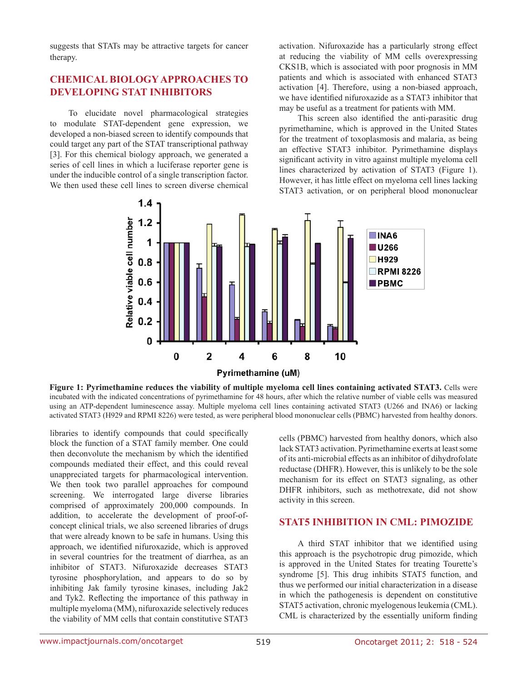suggests that STATs may be attractive targets for cancer therapy.

# **Chemical biology approaches to developing STAT inhibitors**

To elucidate novel pharmacological strategies to modulate STAT-dependent gene expression, we developed a non-biased screen to identify compounds that could target any part of the STAT transcriptional pathway [3]. For this chemical biology approach, we generated a series of cell lines in which a luciferase reporter gene is under the inducible control of a single transcription factor. We then used these cell lines to screen diverse chemical

activation. Nifuroxazide has a particularly strong effect at reducing the viability of MM cells overexpressing CKS1B, which is associated with poor prognosis in MM patients and which is associated with enhanced STAT3 activation [4]. Therefore, using a non-biased approach, we have identified nifuroxazide as a STAT3 inhibitor that may be useful as a treatment for patients with MM.

This screen also identified the anti-parasitic drug pyrimethamine, which is approved in the United States for the treatment of toxoplasmosis and malaria, as being an effective STAT3 inhibitor. Pyrimethamine displays significant activity in vitro against multiple myeloma cell lines characterized by activation of STAT3 (Figure 1). However, it has little effect on myeloma cell lines lacking STAT3 activation, or on peripheral blood mononuclear



**Figure 1: Pyrimethamine reduces the viability of multiple myeloma cell lines containing activated STAT3.** Cells were incubated with the indicated concentrations of pyrimethamine for 48 hours, after which the relative number of viable cells was measured using an ATP-dependent luminescence assay. Multiple myeloma cell lines containing activated STAT3 (U266 and INA6) or lacking activated STAT3 (H929 and RPMI 8226) were tested, as were peripheral blood mononuclear cells (PBMC) harvested from healthy donors.

libraries to identify compounds that could specifically block the function of a STAT family member. One could then deconvolute the mechanism by which the identified compounds mediated their effect, and this could reveal unappreciated targets for pharmacological intervention. We then took two parallel approaches for compound screening. We interrogated large diverse libraries comprised of approximately 200,000 compounds. In addition, to accelerate the development of proof-ofconcept clinical trials, we also screened libraries of drugs that were already known to be safe in humans. Using this approach, we identified nifuroxazide, which is approved in several countries for the treatment of diarrhea, as an inhibitor of STAT3. Nifuroxazide decreases STAT3 tyrosine phosphorylation, and appears to do so by inhibiting Jak family tyrosine kinases, including Jak2 and Tyk2. Reflecting the importance of this pathway in multiple myeloma (MM), nifuroxazide selectively reduces the viability of MM cells that contain constitutive STAT3

cells (PBMC) harvested from healthy donors, which also lack STAT3 activation. Pyrimethamine exerts at least some of its anti-microbial effects as an inhibitor of dihydrofolate reductase (DHFR). However, this is unlikely to be the sole mechanism for its effect on STAT3 signaling, as other DHFR inhibitors, such as methotrexate, did not show activity in this screen.

### **STAT5 inhibition in CML: Pimozide**

A third STAT inhibitor that we identified using this approach is the psychotropic drug pimozide, which is approved in the United States for treating Tourette's syndrome [5]. This drug inhibits STAT5 function, and thus we performed our initial characterization in a disease in which the pathogenesis is dependent on constitutive STAT5 activation, chronic myelogenous leukemia (CML). CML is characterized by the essentially uniform finding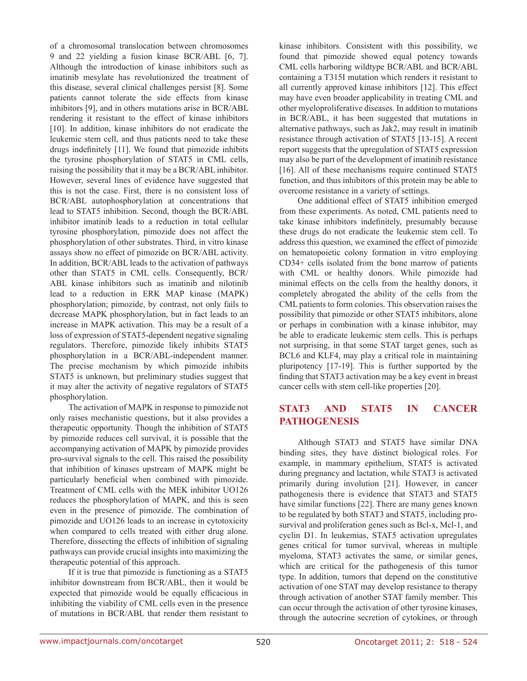of a chromosomal translocation between chromosomes 9 and 22 yielding a fusion kinase BCR/ABL [6, 7]. Although the introduction of kinase inhibitors such as imatinib mesylate has revolutionized the treatment of this disease, several clinical challenges persist [8]. Some patients cannot tolerate the side effects from kinase inhibitors [9], and in others mutations arise in BCR/ABL rendering it resistant to the effect of kinase inhibitors [10]. In addition, kinase inhibitors do not eradicate the leukemic stem cell, and thus patients need to take these drugs indefinitely [11]. We found that pimozide inhibits the tyrosine phosphorylation of STAT5 in CML cells, raising the possibility that it may be a BCR/ABL inhibitor. However, several lines of evidence have suggested that this is not the case. First, there is no consistent loss of BCR/ABL autophosphorylation at concentrations that lead to STAT5 inhibition. Second, though the BCR/ABL inhibitor imatinib leads to a reduction in total cellular tyrosine phosphorylation, pimozide does not affect the phosphorylation of other substrates. Third, in vitro kinase assays show no effect of pimozide on BCR/ABL activity. In addition, BCR/ABL leads to the activation of pathways other than STAT5 in CML cells. Consequently, BCR/ ABL kinase inhibitors such as imatinib and nilotinib lead to a reduction in ERK MAP kinase (MAPK) phosphorylation; pimozide, by contrast, not only fails to decrease MAPK phosphorylation, but in fact leads to an increase in MAPK activation. This may be a result of a loss of expression of STAT5-dependent negative signaling regulators. Therefore, pimozide likely inhibits STAT5 phosphorylation in a BCR/ABL-independent manner. The precise mechanism by which pimozide inhibits STAT5 is unknown, but preliminary studies suggest that it may alter the activity of negative regulators of STAT5 phosphorylation.

The activation of MAPK in response to pimozide not only raises mechanistic questions, but it also provides a therapeutic opportunity. Though the inhibition of STAT5 by pimozide reduces cell survival, it is possible that the accompanying activation of MAPK by pimozide provides pro-survival signals to the cell. This raised the possibility that inhibition of kinases upstream of MAPK might be particularly beneficial when combined with pimozide. Treatment of CML cells with the MEK inhibitor UO126 reduces the phosphorylation of MAPK, and this is seen even in the presence of pimozide. The combination of pimozide and UO126 leads to an increase in cytotoxicity when compared to cells treated with either drug alone. Therefore, dissecting the effects of inhibition of signaling pathways can provide crucial insights into maximizing the therapeutic potential of this approach.

If it is true that pimozide is functioning as a STAT5 inhibitor downstream from BCR/ABL, then it would be expected that pimozide would be equally efficacious in inhibiting the viability of CML cells even in the presence of mutations in BCR/ABL that render them resistant to kinase inhibitors. Consistent with this possibility, we found that pimozide showed equal potency towards CML cells harboring wildtype BCR/ABL and BCR/ABL containing a T315I mutation which renders it resistant to all currently approved kinase inhibitors [12]. This effect may have even broader applicability in treating CML and other myeloproliferative diseases. In addition to mutations in BCR/ABL, it has been suggested that mutations in alternative pathways, such as Jak2, may result in imatinib resistance through activation of STAT5 [13-15]. A recent report suggests that the upregulation of STAT5 expression may also be part of the development of imatinib resistance [16]. All of these mechanisms require continued STAT5 function, and thus inhibitors of this protein may be able to overcome resistance in a variety of settings.

One additional effect of STAT5 inhibition emerged from these experiments. As noted, CML patients need to take kinase inhibitors indefinitely, presumably because these drugs do not eradicate the leukemic stem cell. To address this question, we examined the effect of pimozide on hematopoietic colony formation in vitro employing CD34+ cells isolated from the bone marrow of patients with CML or healthy donors. While pimozide had minimal effects on the cells from the healthy donors, it completely abrogated the ability of the cells from the CML patients to form colonies. This observation raises the possibility that pimozide or other STAT5 inhibitors, alone or perhaps in combination with a kinase inhibitor, may be able to eradicate leukemic stem cells. This is perhaps not surprising, in that some STAT target genes, such as BCL6 and KLF4, may play a critical role in maintaining pluripotency [17-19]. This is further supported by the finding that STAT3 activation may be a key event in breast cancer cells with stem cell-like properties [20].

# **STAT3 and STAT5 in cancer pathogenesis**

Although STAT3 and STAT5 have similar DNA binding sites, they have distinct biological roles. For example, in mammary epithelium, STAT5 is activated during pregnancy and lactation, while STAT3 is activated primarily during involution [21]. However, in cancer pathogenesis there is evidence that STAT3 and STAT5 have similar functions [22]. There are many genes known to be regulated by both STAT3 and STAT5, including prosurvival and proliferation genes such as Bcl-x, Mcl-1, and cyclin D1. In leukemias, STAT5 activation upregulates genes critical for tumor survival, whereas in multiple myeloma, STAT3 activates the same, or similar genes, which are critical for the pathogenesis of this tumor type. In addition, tumors that depend on the constitutive activation of one STAT may develop resistance to therapy through activation of another STAT family member. This can occur through the activation of other tyrosine kinases, through the autocrine secretion of cytokines, or through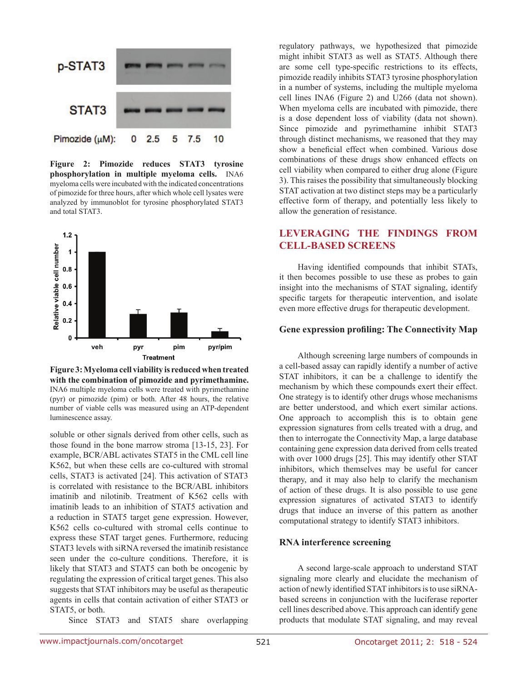

**Figure 2: Pimozide reduces STAT3 tyrosine phosphorylation in multiple myeloma cells.** INA6 myeloma cells were incubated with the indicated concentrations of pimozide for three hours, after which whole cell lysates were analyzed by immunoblot for tyrosine phosphorylated STAT3 and total STAT3.



**Figure 3: Myeloma cell viability is reduced when treated with the combination of pimozide and pyrimethamine.**  INA6 multiple myeloma cells were treated with pyrimethamine (pyr) or pimozide (pim) or both. After 48 hours, the relative number of viable cells was measured using an ATP-dependent luminescence assay.

soluble or other signals derived from other cells, such as those found in the bone marrow stroma [13-15, 23]. For example, BCR/ABL activates STAT5 in the CML cell line K562, but when these cells are co-cultured with stromal cells, STAT3 is activated [24]. This activation of STAT3 is correlated with resistance to the BCR/ABL inhibitors imatinib and nilotinib. Treatment of K562 cells with imatinib leads to an inhibition of STAT5 activation and a reduction in STAT5 target gene expression. However, K562 cells co-cultured with stromal cells continue to express these STAT target genes. Furthermore, reducing STAT3 levels with siRNA reversed the imatinib resistance seen under the co-culture conditions. Therefore, it is likely that STAT3 and STAT5 can both be oncogenic by regulating the expression of critical target genes. This also suggests that STAT inhibitors may be useful as therapeutic agents in cells that contain activation of either STAT3 or STAT5, or both.

Since STAT3 and STAT5 share overlapping

regulatory pathways, we hypothesized that pimozide might inhibit STAT3 as well as STAT5. Although there are some cell type-specific restrictions to its effects, pimozide readily inhibits STAT3 tyrosine phosphorylation in a number of systems, including the multiple myeloma cell lines INA6 (Figure 2) and U266 (data not shown). When myeloma cells are incubated with pimozide, there is a dose dependent loss of viability (data not shown). Since pimozide and pyrimethamine inhibit STAT3 through distinct mechanisms, we reasoned that they may show a beneficial effect when combined. Various dose combinations of these drugs show enhanced effects on cell viability when compared to either drug alone (Figure 3). This raises the possibility that simultaneously blocking STAT activation at two distinct steps may be a particularly effective form of therapy, and potentially less likely to allow the generation of resistance.

# **Leveraging the findings from cell-based screens**

Having identified compounds that inhibit STATs, it then becomes possible to use these as probes to gain insight into the mechanisms of STAT signaling, identify specific targets for therapeutic intervention, and isolate even more effective drugs for therapeutic development.

#### **Gene expression profiling: The Connectivity Map**

Although screening large numbers of compounds in a cell-based assay can rapidly identify a number of active STAT inhibitors, it can be a challenge to identify the mechanism by which these compounds exert their effect. One strategy is to identify other drugs whose mechanisms are better understood, and which exert similar actions. One approach to accomplish this is to obtain gene expression signatures from cells treated with a drug, and then to interrogate the Connectivity Map, a large database containing gene expression data derived from cells treated with over 1000 drugs [25]. This may identify other STAT inhibitors, which themselves may be useful for cancer therapy, and it may also help to clarify the mechanism of action of these drugs. It is also possible to use gene expression signatures of activated STAT3 to identify drugs that induce an inverse of this pattern as another computational strategy to identify STAT3 inhibitors.

#### **RNA interference screening**

A second large-scale approach to understand STAT signaling more clearly and elucidate the mechanism of action of newly identified STAT inhibitors is to use siRNAbased screens in conjunction with the luciferase reporter cell lines described above. This approach can identify gene products that modulate STAT signaling, and may reveal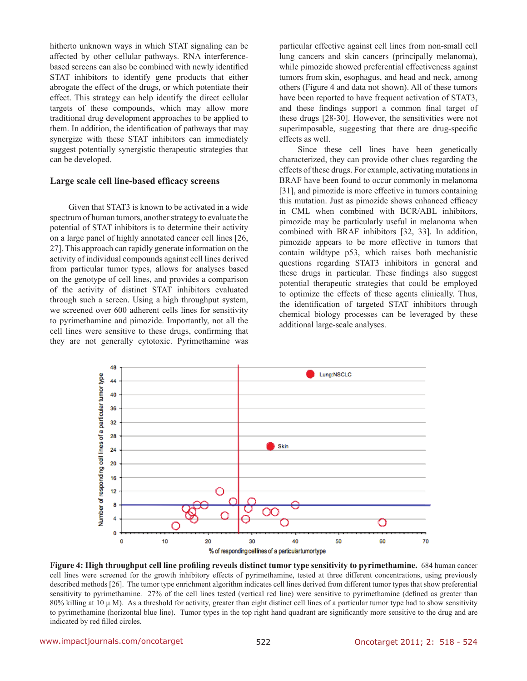hitherto unknown ways in which STAT signaling can be affected by other cellular pathways. RNA interferencebased screens can also be combined with newly identified STAT inhibitors to identify gene products that either abrogate the effect of the drugs, or which potentiate their effect. This strategy can help identify the direct cellular targets of these compounds, which may allow more traditional drug development approaches to be applied to them. In addition, the identification of pathways that may synergize with these STAT inhibitors can immediately suggest potentially synergistic therapeutic strategies that can be developed.

#### **Large scale cell line-based efficacy screens**

Given that STAT3 is known to be activated in a wide spectrum of human tumors, another strategy to evaluate the potential of STAT inhibitors is to determine their activity on a large panel of highly annotated cancer cell lines [26, 27]. This approach can rapidly generate information on the activity of individual compounds against cell lines derived from particular tumor types, allows for analyses based on the genotype of cell lines, and provides a comparison of the activity of distinct STAT inhibitors evaluated through such a screen. Using a high throughput system, we screened over 600 adherent cells lines for sensitivity to pyrimethamine and pimozide. Importantly, not all the cell lines were sensitive to these drugs, confirming that they are not generally cytotoxic. Pyrimethamine was

particular effective against cell lines from non-small cell lung cancers and skin cancers (principally melanoma), while pimozide showed preferential effectiveness against tumors from skin, esophagus, and head and neck, among others (Figure 4 and data not shown). All of these tumors have been reported to have frequent activation of STAT3, and these findings support a common final target of these drugs [28-30]. However, the sensitivities were not superimposable, suggesting that there are drug-specific effects as well.

Since these cell lines have been genetically characterized, they can provide other clues regarding the effects of these drugs. For example, activating mutations in BRAF have been found to occur commonly in melanoma [31], and pimozide is more effective in tumors containing this mutation. Just as pimozide shows enhanced efficacy in CML when combined with BCR/ABL inhibitors, pimozide may be particularly useful in melanoma when combined with BRAF inhibitors [32, 33]. In addition, pimozide appears to be more effective in tumors that contain wildtype p53, which raises both mechanistic questions regarding STAT3 inhibitors in general and these drugs in particular. These findings also suggest potential therapeutic strategies that could be employed to optimize the effects of these agents clinically. Thus, the identification of targeted STAT inhibitors through chemical biology processes can be leveraged by these additional large-scale analyses.



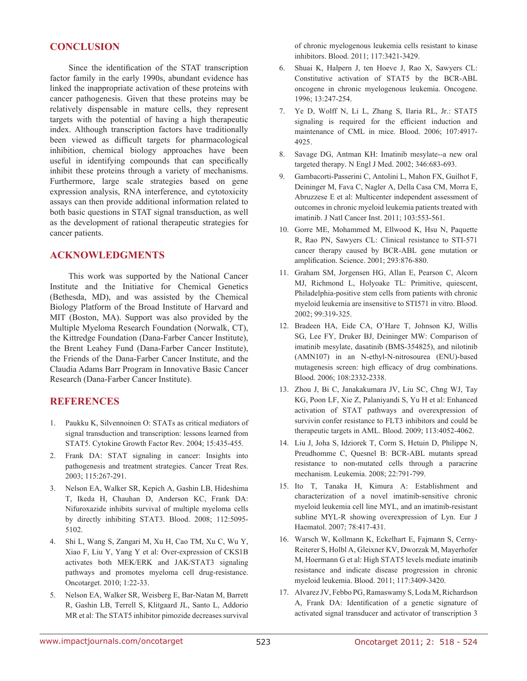# **Conclusion**

Since the identification of the STAT transcription factor family in the early 1990s, abundant evidence has linked the inappropriate activation of these proteins with cancer pathogenesis. Given that these proteins may be relatively dispensable in mature cells, they represent targets with the potential of having a high therapeutic index. Although transcription factors have traditionally been viewed as difficult targets for pharmacological inhibition, chemical biology approaches have been useful in identifying compounds that can specifically inhibit these proteins through a variety of mechanisms. Furthermore, large scale strategies based on gene expression analysis, RNA interference, and cytotoxicity assays can then provide additional information related to both basic questions in STAT signal transduction, as well as the development of rational therapeutic strategies for cancer patients.

# **Acknowledgments**

This work was supported by the National Cancer Institute and the Initiative for Chemical Genetics (Bethesda, MD), and was assisted by the Chemical Biology Platform of the Broad Institute of Harvard and MIT (Boston, MA). Support was also provided by the Multiple Myeloma Research Foundation (Norwalk, CT), the Kittredge Foundation (Dana-Farber Cancer Institute), the Brent Leahey Fund (Dana-Farber Cancer Institute), the Friends of the Dana-Farber Cancer Institute, and the Claudia Adams Barr Program in Innovative Basic Cancer Research (Dana-Farber Cancer Institute).

### **References**

- 1. Paukku K, Silvennoinen O: STATs as critical mediators of signal transduction and transcription: lessons learned from STAT5. Cytokine Growth Factor Rev. 2004; 15:435-455.
- 2. Frank DA: STAT signaling in cancer: Insights into pathogenesis and treatment strategies. Cancer Treat Res. 2003; 115:267-291.
- 3. Nelson EA, Walker SR, Kepich A, Gashin LB, Hideshima T, Ikeda H, Chauhan D, Anderson KC, Frank DA: Nifuroxazide inhibits survival of multiple myeloma cells by directly inhibiting STAT3. Blood. 2008; 112:5095- 5102.
- 4. Shi L, Wang S, Zangari M, Xu H, Cao TM, Xu C, Wu Y, Xiao F, Liu Y, Yang Y et al: Over-expression of CKS1B activates both MEK/ERK and JAK/STAT3 signaling pathways and promotes myeloma cell drug-resistance. Oncotarget. 2010; 1:22-33.
- 5. Nelson EA, Walker SR, Weisberg E, Bar-Natan M, Barrett R, Gashin LB, Terrell S, Klitgaard JL, Santo L, Addorio MR et al: The STAT5 inhibitor pimozide decreases survival

of chronic myelogenous leukemia cells resistant to kinase inhibitors. Blood. 2011; 117:3421-3429.

- 6. Shuai K, Halpern J, ten Hoeve J, Rao X, Sawyers CL: Constitutive activation of STAT5 by the BCR-ABL oncogene in chronic myelogenous leukemia. Oncogene. 1996; 13:247-254.
- 7. Ye D, Wolff N, Li L, Zhang S, Ilaria RL, Jr.: STAT5 signaling is required for the efficient induction and maintenance of CML in mice. Blood. 2006; 107:4917- 4925.
- 8. Savage DG, Antman KH: Imatinib mesylate--a new oral targeted therapy. N Engl J Med. 2002; 346:683-693.
- 9. Gambacorti-Passerini C, Antolini L, Mahon FX, Guilhot F, Deininger M, Fava C, Nagler A, Della Casa CM, Morra E, Abruzzese E et al: Multicenter independent assessment of outcomes in chronic myeloid leukemia patients treated with imatinib. J Natl Cancer Inst. 2011; 103:553-561.
- 10. Gorre ME, Mohammed M, Ellwood K, Hsu N, Paquette R, Rao PN, Sawyers CL: Clinical resistance to STI-571 cancer therapy caused by BCR-ABL gene mutation or amplification. Science. 2001; 293:876-880.
- 11. Graham SM, Jorgensen HG, Allan E, Pearson C, Alcorn MJ, Richmond L, Holyoake TL: Primitive, quiescent, Philadelphia-positive stem cells from patients with chronic myeloid leukemia are insensitive to STI571 in vitro. Blood. 2002; 99:319-325.
- 12. Bradeen HA, Eide CA, O'Hare T, Johnson KJ, Willis SG, Lee FY, Druker BJ, Deininger MW: Comparison of imatinib mesylate, dasatinib (BMS-354825), and nilotinib (AMN107) in an N-ethyl-N-nitrosourea (ENU)-based mutagenesis screen: high efficacy of drug combinations. Blood. 2006; 108:2332-2338.
- 13. Zhou J, Bi C, Janakakumara JV, Liu SC, Chng WJ, Tay KG, Poon LF, Xie Z, Palaniyandi S, Yu H et al: Enhanced activation of STAT pathways and overexpression of survivin confer resistance to FLT3 inhibitors and could be therapeutic targets in AML. Blood. 2009; 113:4052-4062.
- 14. Liu J, Joha S, Idziorek T, Corm S, Hetuin D, Philippe N, Preudhomme C, Quesnel B: BCR-ABL mutants spread resistance to non-mutated cells through a paracrine mechanism. Leukemia. 2008; 22:791-799.
- 15. Ito T, Tanaka H, Kimura A: Establishment and characterization of a novel imatinib-sensitive chronic myeloid leukemia cell line MYL, and an imatinib-resistant subline MYL-R showing overexpression of Lyn. Eur J Haematol. 2007; 78:417-431.
- 16. Warsch W, Kollmann K, Eckelhart E, Fajmann S, Cerny-Reiterer S, Holbl A, Gleixner KV, Dworzak M, Mayerhofer M, Hoermann G et al: High STAT5 levels mediate imatinib resistance and indicate disease progression in chronic myeloid leukemia. Blood. 2011; 117:3409-3420.
- 17. Alvarez JV, Febbo PG, Ramaswamy S, Loda M, Richardson A, Frank DA: Identification of a genetic signature of activated signal transducer and activator of transcription 3